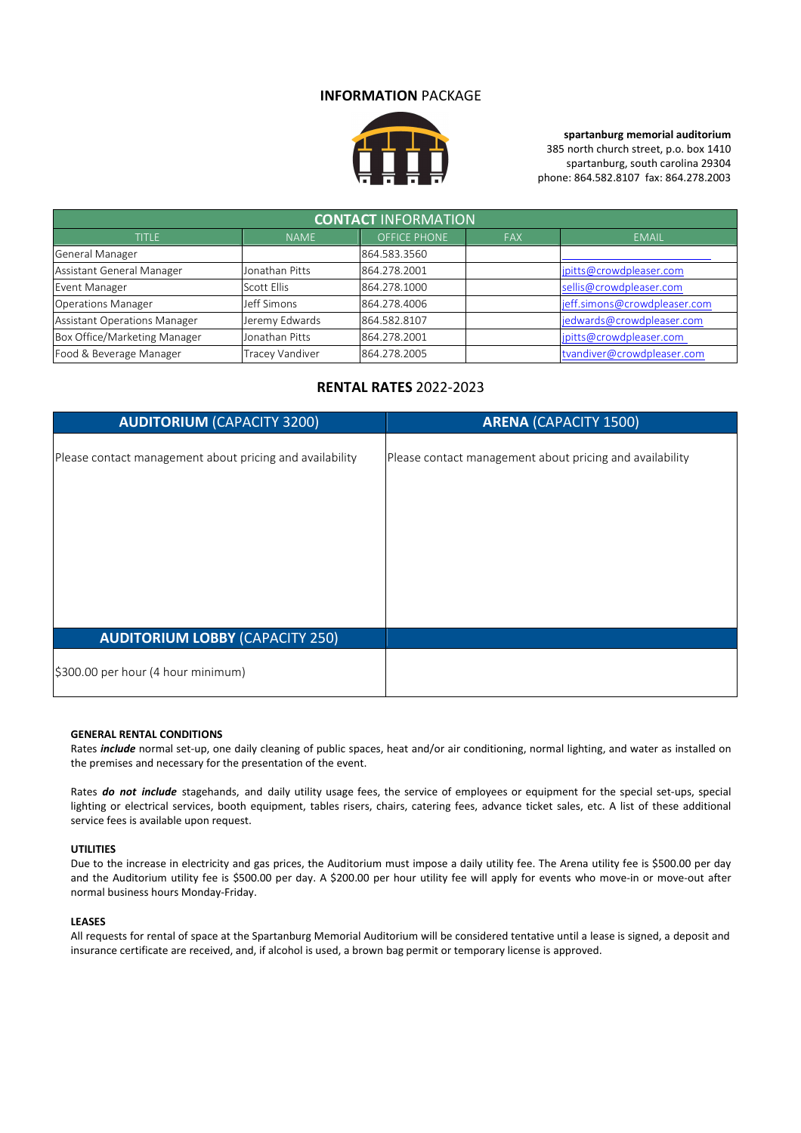## **INFORMATION** PACKAGE



**spartanburg memorial auditorium** 385 north church street, p.o. box 1410 spartanburg, south carolina 29304 phone: 864.582.8107 fax: 864.278.2003

| <b>CONTACT INFORMATION</b>   |                 |                     |            |                              |
|------------------------------|-----------------|---------------------|------------|------------------------------|
| <b>TITLE</b>                 | <b>NAME</b>     | <b>OFFICE PHONE</b> | <b>FAX</b> | <b>EMAIL</b>                 |
| General Manager              |                 | 864.583.3560        |            |                              |
| Assistant General Manager    | Jonathan Pitts  | 864.278.2001        |            | jpitts@crowdpleaser.com      |
| Event Manager                | Scott Ellis     | 864.278.1000        |            | sellis@crowdpleaser.com      |
| Operations Manager           | Jeff Simons     | 864.278.4006        |            | jeff.simons@crowdpleaser.com |
| Assistant Operations Manager | Jeremy Edwards  | 864.582.8107        |            | jedwards@crowdpleaser.com    |
| Box Office/Marketing Manager | IJonathan Pitts | 864.278.2001        |            | jpitts@crowdpleaser.com      |
| Food & Beverage Manager      | Tracey Vandiver | 864.278.2005        |            | tvandiver@crowdpleaser.com   |

### **RENTAL RATES** 2022-2023

| <b>AUDITORIUM (CAPACITY 3200)</b>                        | <b>ARENA (CAPACITY 1500)</b>                             |
|----------------------------------------------------------|----------------------------------------------------------|
| Please contact management about pricing and availability | Please contact management about pricing and availability |
|                                                          |                                                          |
|                                                          |                                                          |
|                                                          |                                                          |
| <b>AUDITORIUM LOBBY (CAPACITY 250)</b>                   |                                                          |
| \$300.00 per hour (4 hour minimum)                       |                                                          |

### **GENERAL RENTAL CONDITIONS**

Rates *include* normal set-up, one daily cleaning of public spaces, heat and/or air conditioning, normal lighting, and water as installed on the premises and necessary for the presentation of the event.

Rates *do not include* stagehands, and daily utility usage fees, the service of employees or equipment for the special set-ups, special lighting or electrical services, booth equipment, tables risers, chairs, catering fees, advance ticket sales, etc. A list of these additional service fees is available upon request.

#### **UTILITIES**

Due to the increase in electricity and gas prices, the Auditorium must impose a daily utility fee. The Arena utility fee is \$500.00 per day and the Auditorium utility fee is \$500.00 per day. A \$200.00 per hour utility fee will apply for events who move-in or move-out after normal business hours Monday-Friday.

#### **LEASES**

All requests for rental of space at the Spartanburg Memorial Auditorium will be considered tentative until a lease is signed, a deposit and insurance certificate are received, and, if alcohol is used, a brown bag permit or temporary license is approved.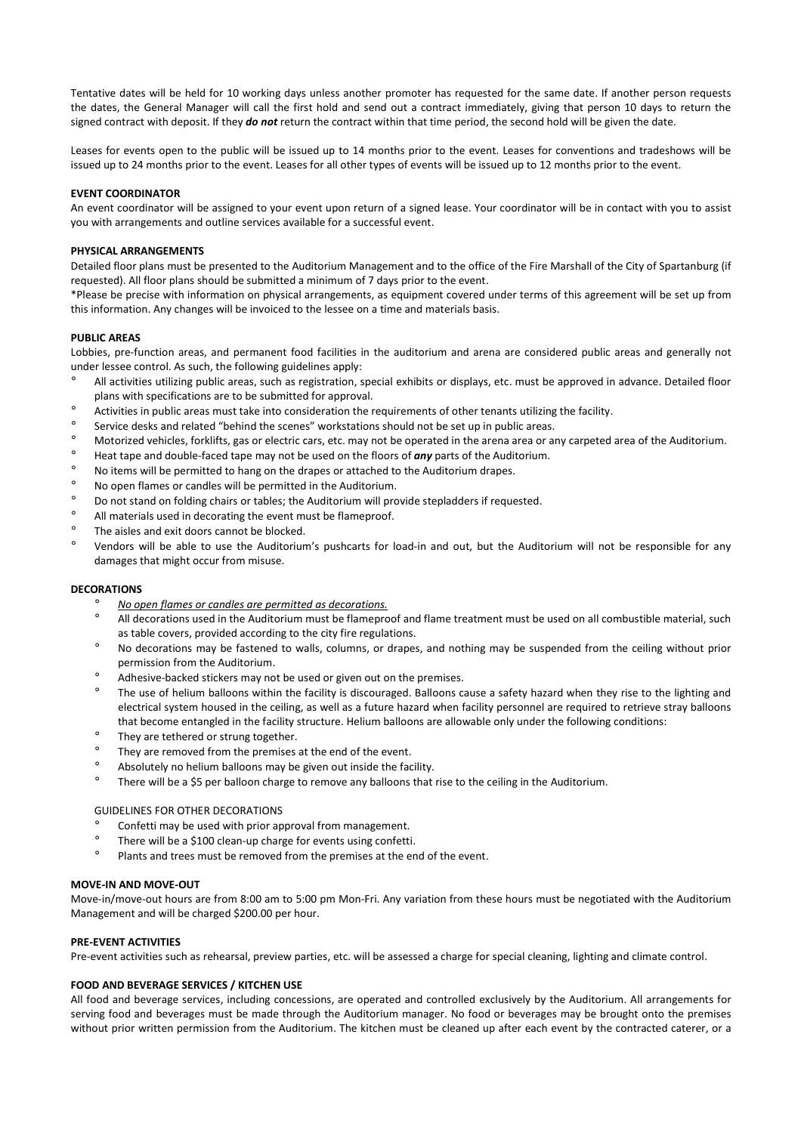Tentative dates will be held for 10 working days unless another promoter has requested for the same date. If another person requests the dates, the General Manager will call the first hold and send out a contract immediately, giving that person 10 days to return the signed contract with deposit. If they *do not* return the contract within that time period, the second hold will be given the date.

Leases for events open to the public will be issued up to 14 months prior to the event. Leases for conventions and tradeshows will be issued up to 24 months prior to the event. Leases for all other types of events will be issued up to 12 months prior to the event.

#### **EVENT COORDINATOR**

An event coordinator will be assigned to your event upon return of a signed lease. Your coordinator will be in contact with you to assist you with arrangements and outline services available for a successful event.

#### **PHYSICAL ARRANGEMENTS**

Detailed floor plans must be presented to the Auditorium Management and to the office of the Fire Marshall of the City of Spartanburg (if requested). All floor plans should be submitted a minimum of 7 days prior to the event.

\*Please be precise with information on physical arrangements, as equipment covered under terms of this agreement will be set up from this information. Any changes will be invoiced to the lessee on a time and materials basis.

#### **PUBLIC AREAS**

Lobbies, pre-function areas, and permanent food facilities in the auditorium and arena are considered public areas and generally not under lessee control. As such, the following guidelines apply:

- ° All activities utilizing public areas, such as registration, special exhibits or displays, etc. must be approved in advance. Detailed floor plans with specifications are to be submitted for approval.
- ° Activities in public areas must take into consideration the requirements of other tenants utilizing the facility.
- Service desks and related "behind the scenes" workstations should not be set up in public areas.
- ° Motorized vehicles, forklifts, gas or electric cars, etc. may not be operated in the arena area or any carpeted area of the Auditorium.
- ° Heat tape and double-faced tape may not be used on the floors of *any* parts of the Auditorium.
- ° No items will be permitted to hang on the drapes or attached to the Auditorium drapes.
- ° No open flames or candles will be permitted in the Auditorium.
- ° Do not stand on folding chairs or tables; the Auditorium will provide stepladders if requested.
- All materials used in decorating the event must be flameproof.
- The aisles and exit doors cannot be blocked.
- ° Vendors will be able to use the Auditorium's pushcarts for load-in and out, but the Auditorium will not be responsible for any damages that might occur from misuse.

#### **DECORATIONS**

- ° *No open flames or candles are permitted as decorations.*
- ° All decorations used in the Auditorium must be flameproof and flame treatment must be used on all combustible material, such as table covers, provided according to the city fire regulations.
- ° No decorations may be fastened to walls, columns, or drapes, and nothing may be suspended from the ceiling without prior permission from the Auditorium.
- ° Adhesive-backed stickers may not be used or given out on the premises.
- ° The use of helium balloons within the facility is discouraged. Balloons cause a safety hazard when they rise to the lighting and electrical system housed in the ceiling, as well as a future hazard when facility personnel are required to retrieve stray balloons that become entangled in the facility structure. Helium balloons are allowable only under the following conditions:
- ° They are tethered or strung together.
- ° They are removed from the premises at the end of the event.
- ° Absolutely no helium balloons may be given out inside the facility.
- ° There will be a \$5 per balloon charge to remove any balloons that rise to the ceiling in the Auditorium.

#### GUIDELINES FOR OTHER DECORATIONS

- Confetti may be used with prior approval from management.
- There will be a \$100 clean-up charge for events using confetti.
- Plants and trees must be removed from the premises at the end of the event.

#### **MOVE-IN AND MOVE-OUT**

Move-in/move-out hours are from 8:00 am to 5:00 pm Mon-Fri. Any variation from these hours must be negotiated with the Auditorium Management and will be charged \$200.00 per hour.

#### **PRE-EVENT ACTIVITIES**

Pre-event activities such as rehearsal, preview parties, etc. will be assessed a charge for special cleaning, lighting and climate control.

#### **FOOD AND BEVERAGE SERVICES / KITCHEN USE**

All food and beverage services, including concessions, are operated and controlled exclusively by the Auditorium. All arrangements for serving food and beverages must be made through the Auditorium manager. No food or beverages may be brought onto the premises without prior written permission from the Auditorium. The kitchen must be cleaned up after each event by the contracted caterer, or a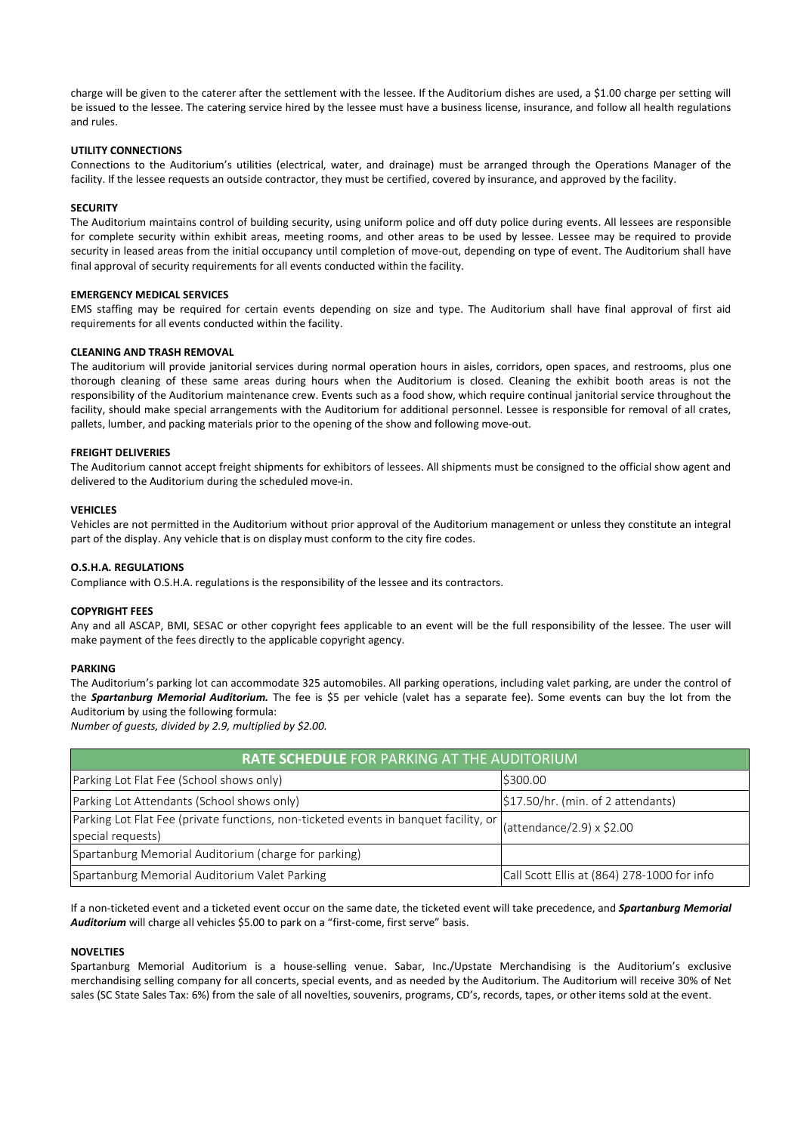charge will be given to the caterer after the settlement with the lessee. If the Auditorium dishes are used, a \$1.00 charge per setting will be issued to the lessee. The catering service hired by the lessee must have a business license, insurance, and follow all health regulations and rules.

#### **UTILITY CONNECTIONS**

Connections to the Auditorium's utilities (electrical, water, and drainage) must be arranged through the Operations Manager of the facility. If the lessee requests an outside contractor, they must be certified, covered by insurance, and approved by the facility.

#### **SECURITY**

The Auditorium maintains control of building security, using uniform police and off duty police during events. All lessees are responsible for complete security within exhibit areas, meeting rooms, and other areas to be used by lessee. Lessee may be required to provide security in leased areas from the initial occupancy until completion of move-out, depending on type of event. The Auditorium shall have final approval of security requirements for all events conducted within the facility.

#### **EMERGENCY MEDICAL SERVICES**

EMS staffing may be required for certain events depending on size and type. The Auditorium shall have final approval of first aid requirements for all events conducted within the facility.

#### **CLEANING AND TRASH REMOVAL**

The auditorium will provide janitorial services during normal operation hours in aisles, corridors, open spaces, and restrooms, plus one thorough cleaning of these same areas during hours when the Auditorium is closed. Cleaning the exhibit booth areas is not the responsibility of the Auditorium maintenance crew. Events such as a food show, which require continual janitorial service throughout the facility, should make special arrangements with the Auditorium for additional personnel. Lessee is responsible for removal of all crates, pallets, lumber, and packing materials prior to the opening of the show and following move-out.

#### **FREIGHT DELIVERIES**

The Auditorium cannot accept freight shipments for exhibitors of lessees. All shipments must be consigned to the official show agent and delivered to the Auditorium during the scheduled move-in.

#### **VEHICLES**

Vehicles are not permitted in the Auditorium without prior approval of the Auditorium management or unless they constitute an integral part of the display. Any vehicle that is on display must conform to the city fire codes.

#### **O.S.H.A. REGULATIONS**

Compliance with O.S.H.A. regulations is the responsibility of the lessee and its contractors.

#### **COPYRIGHT FEES**

Any and all ASCAP, BMI, SESAC or other copyright fees applicable to an event will be the full responsibility of the lessee. The user will make payment of the fees directly to the applicable copyright agency.

#### **PARKING**

The Auditorium's parking lot can accommodate 325 automobiles. All parking operations, including valet parking, are under the control of the *Spartanburg Memorial Auditorium.* The fee is \$5 per vehicle (valet has a separate fee). Some events can buy the lot from the Auditorium by using the following formula:

*Number of guests, divided by 2.9, multiplied by \$2.00.*

| <b>RATE SCHEDULE FOR PARKING AT THE AUDITORIUM</b>                                                        |                                             |  |  |
|-----------------------------------------------------------------------------------------------------------|---------------------------------------------|--|--|
| Parking Lot Flat Fee (School shows only)                                                                  | \$300.00                                    |  |  |
| Parking Lot Attendants (School shows only)                                                                | $ $17.50/hr.$ (min. of 2 attendants)        |  |  |
| Parking Lot Flat Fee (private functions, non-ticketed events in banquet facility, or<br>special requests) | $\left($ attendance/2.9) x \$2.00           |  |  |
| Spartanburg Memorial Auditorium (charge for parking)                                                      |                                             |  |  |
| Spartanburg Memorial Auditorium Valet Parking                                                             | Call Scott Ellis at (864) 278-1000 for info |  |  |

If a non-ticketed event and a ticketed event occur on the same date, the ticketed event will take precedence, and *Spartanburg Memorial Auditorium* will charge all vehicles \$5.00 to park on a "first-come, first serve" basis.

#### **NOVELTIES**

Spartanburg Memorial Auditorium is a house-selling venue. Sabar, Inc./Upstate Merchandising is the Auditorium's exclusive merchandising selling company for all concerts, special events, and as needed by the Auditorium. The Auditorium will receive 30% of Net sales (SC State Sales Tax: 6%) from the sale of all novelties, souvenirs, programs, CD's, records, tapes, or other items sold at the event.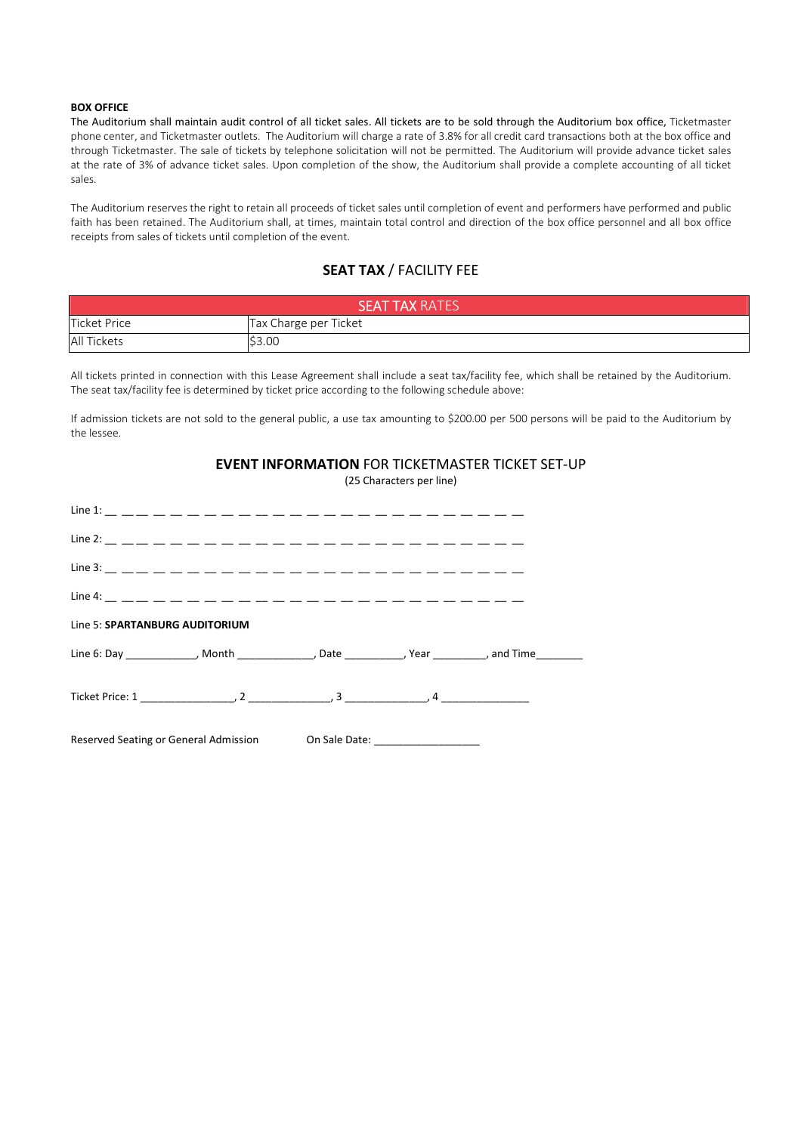#### **BOX OFFICE**

The Auditorium shall maintain audit control of all ticket sales. All tickets are to be sold through the Auditorium box office, Ticketmaster phone center, and Ticketmaster outlets. The Auditorium will charge a rate of 3.8% for all credit card transactions both at the box office and through Ticketmaster. The sale of tickets by telephone solicitation will not be permitted. The Auditorium will provide advance ticket sales at the rate of 3% of advance ticket sales. Upon completion of the show, the Auditorium shall provide a complete accounting of all ticket sales.

The Auditorium reserves the right to retain all proceeds of ticket sales until completion of event and performers have performed and public faith has been retained. The Auditorium shall, at times, maintain total control and direction of the box office personnel and all box office receipts from sales of tickets until completion of the event.

### **SEAT TAX** / FACILITY FEE

| <b>SEAT TAX RATES</b> |                       |  |
|-----------------------|-----------------------|--|
| Ticket Price          | Tax Charge per Ticket |  |
| <b>All Tickets</b>    | \$3.00                |  |

All tickets printed in connection with this Lease Agreement shall include a seat tax/facility fee, which shall be retained by the Auditorium. The seat tax/facility fee is determined by ticket price according to the following schedule above:

If admission tickets are not sold to the general public, a use tax amounting to \$200.00 per 500 persons will be paid to the Auditorium by the lessee.

# **EVENT INFORMATION** FOR TICKETMASTER TICKET SET-UP

(25 Characters per line)

| $\mathsf{Line} \, 1! \, \underline{\ \ } \, \underline{\ \ } \, \underline{\ \ } \, \underline{\ \ } \, \underline{\ \ } \, \underline{\ \ } \, \underline{\ \ } \, \underline{\ \ } \, \underline{\ \ } \, \underline{\ \ } \, \underline{\ \ } \, \underline{\ \ } \, \underline{\ \ } \, \underline{\ \ } \, \underline{\ \ } \, \underline{\ \ } \, \underline{\ \ } \, \underline{\ \ } \, \underline{\ \ } \, \underline{\ \ } \, \underline{\ \ } \, \underline{\ \ } \, \underline{\ \ } \, \underline{\ \ } \, \underline{\ \ } \, \underline{\ \ } \, \underline{\ \ } \, \underline{\ \ } \, \underline{\ \ } \, \underline{\ \$  |  |                                    |  |
|----------------------------------------------------------------------------------------------------------------------------------------------------------------------------------------------------------------------------------------------------------------------------------------------------------------------------------------------------------------------------------------------------------------------------------------------------------------------------------------------------------------------------------------------------------------------------------------------------------------------------------------------|--|------------------------------------|--|
| $\mathsf{Line}\, 2! \, \underline{\ \ } \, \underline{\ \ } \, \underline{\ \ } \, \underline{\ \ } \, \underline{\ \ } \, \underline{\ \ } \, \underline{\ \ } \, \underline{\ \ } \, \underline{\ \ } \, \underline{\ \ } \, \underline{\ \ } \, \underline{\ \ } \, \underline{\ \ } \, \underline{\ \ } \, \underline{\ \ } \, \underline{\ \ } \, \underline{\ \ } \, \underline{\ \ } \, \underline{\ \ } \, \underline{\ \ } \, \underline{\ \ } \, \underline{\ \ } \, \underline{\ \ } \, \underline{\ \ } \, \underline{\ \ } \, \underline{\ \ } \, \underline{\ \ } \, \underline{\ \ } \, \underline{\ \ } \, \underline{\ \ }$ |  |                                    |  |
|                                                                                                                                                                                                                                                                                                                                                                                                                                                                                                                                                                                                                                              |  |                                    |  |
|                                                                                                                                                                                                                                                                                                                                                                                                                                                                                                                                                                                                                                              |  |                                    |  |
| Line 5: SPARTANBURG AUDITORIUM                                                                                                                                                                                                                                                                                                                                                                                                                                                                                                                                                                                                               |  |                                    |  |
| Line 6: Day ______________, Month _______________, Date ___________, Year _________, and Time _________                                                                                                                                                                                                                                                                                                                                                                                                                                                                                                                                      |  |                                    |  |
|                                                                                                                                                                                                                                                                                                                                                                                                                                                                                                                                                                                                                                              |  |                                    |  |
| Reserved Seating or General Admission                                                                                                                                                                                                                                                                                                                                                                                                                                                                                                                                                                                                        |  | On Sale Date: ____________________ |  |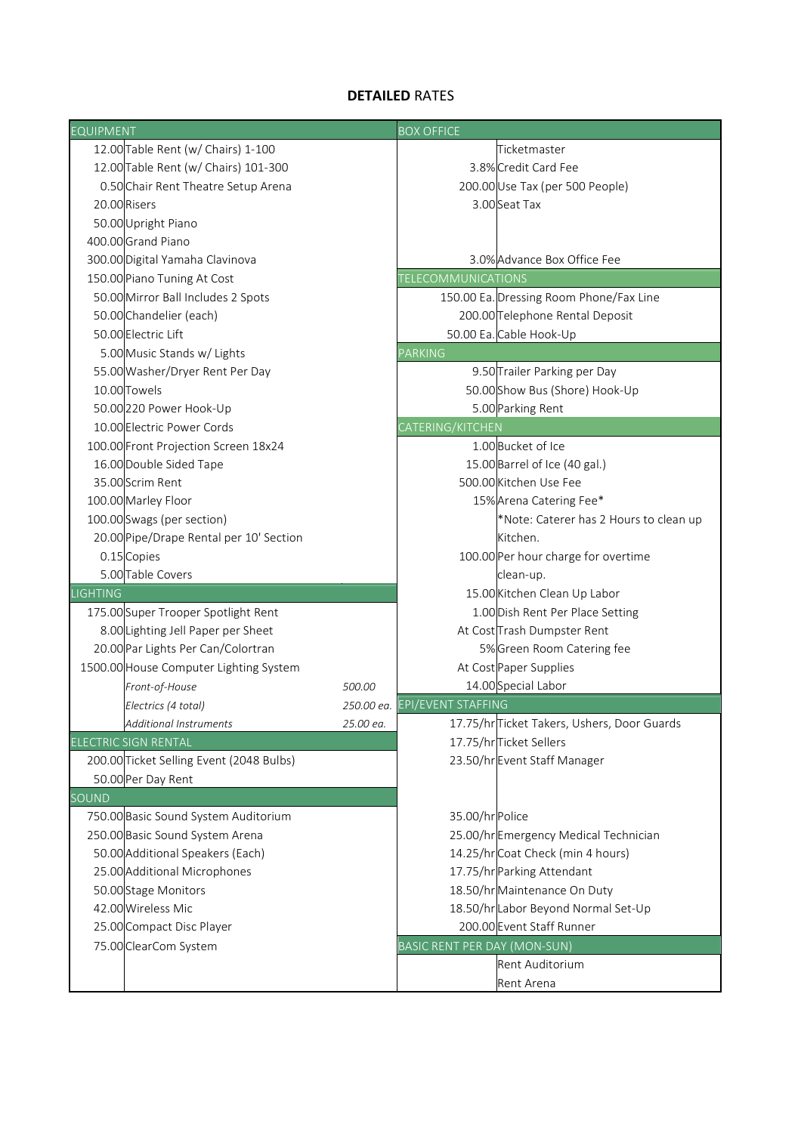## **DETAILED** RATES

| <b>EQUIPMENT</b>                         | <b>BOX OFFICE</b>                           |
|------------------------------------------|---------------------------------------------|
| 12.00 Table Rent (w/ Chairs) 1-100       | Ticketmaster                                |
| 12.00 Table Rent (w/ Chairs) 101-300     | 3.8% Credit Card Fee                        |
| 0.50 Chair Rent Theatre Setup Arena      | 200.00 Use Tax (per 500 People)             |
| 20.00 Risers                             | 3.00 Seat Tax                               |
| 50.00 Upright Piano                      |                                             |
| 400.00 Grand Piano                       |                                             |
| 300.00 Digital Yamaha Clavinova          | 3.0% Advance Box Office Fee                 |
| 150.00 Piano Tuning At Cost              | TELECOMMUNICATIONS                          |
| 50.00 Mirror Ball Includes 2 Spots       | 150.00 Ea. Dressing Room Phone/Fax Line     |
| 50.00 Chandelier (each)                  | 200.00 Telephone Rental Deposit             |
|                                          |                                             |
| 50.00 Electric Lift                      | 50.00 Ea. Cable Hook-Up                     |
| 5.00 Music Stands w/ Lights              | <b>PARKING</b>                              |
| 55.00 Washer/Dryer Rent Per Day          | 9.50 Trailer Parking per Day                |
| 10.00 Towels                             | 50.00 Show Bus (Shore) Hook-Up              |
| 50.00 220 Power Hook-Up                  | 5.00 Parking Rent                           |
| 10.00 Electric Power Cords               | CATERING/KITCHEN                            |
| 100.00 Front Projection Screen 18x24     | 1.00 Bucket of Ice                          |
| 16.00 Double Sided Tape                  | 15.00 Barrel of Ice (40 gal.)               |
| 35.00 Scrim Rent                         | 500.00 Kitchen Use Fee                      |
| 100.00 Marley Floor                      | 15% Arena Catering Fee*                     |
| 100.00 Swags (per section)               | *Note: Caterer has 2 Hours to clean up      |
| 20.00 Pipe/Drape Rental per 10' Section  | Kitchen.                                    |
| 0.15 Copies                              | 100.00 Per hour charge for overtime         |
| 5.00 Table Covers                        | clean-up.                                   |
| <b>LIGHTING</b>                          | 15.00 Kitchen Clean Up Labor                |
| 175.00 Super Trooper Spotlight Rent      | 1.00 Dish Rent Per Place Setting            |
| 8.00 Lighting Jell Paper per Sheet       | At Cost Trash Dumpster Rent                 |
| 20.00 Par Lights Per Can/Colortran       | 5% Green Room Catering fee                  |
| 1500.00 House Computer Lighting System   | At Cost Paper Supplies                      |
| Front-of-House<br>500.00                 | 14.00 Special Labor                         |
| Electrics (4 total)                      | 250.00 ea. EPI/EVENT STAFFING               |
| 25.00 ea.<br>Additional Instruments      | 17.75/hr Ticket Takers, Ushers, Door Guards |
| <b>ELECTRIC SIGN RENTAL</b>              | 17.75/hr Ticket Sellers                     |
| 200.00 Ticket Selling Event (2048 Bulbs) | 23.50/hr Event Staff Manager                |
| 50.00 Per Day Rent                       |                                             |
| SOUND                                    |                                             |
| 750.00 Basic Sound System Auditorium     | 35.00/hr Police                             |
| 250.00 Basic Sound System Arena          | 25.00/hrEmergency Medical Technician        |
| 50.00 Additional Speakers (Each)         |                                             |
|                                          | 14.25/hr Coat Check (min 4 hours)           |
| 25.00 Additional Microphones             | 17.75/hr Parking Attendant                  |
| 50.00 Stage Monitors                     | 18.50/hr Maintenance On Duty                |
| 42.00 Wireless Mic                       | 18.50/hr Labor Beyond Normal Set-Up         |
| 25.00 Compact Disc Player                | 200.00 Event Staff Runner                   |
| 75.00 ClearCom System                    | BASIC RENT PER DAY (MON-SUN)                |
|                                          | Rent Auditorium                             |
|                                          | Rent Arena                                  |